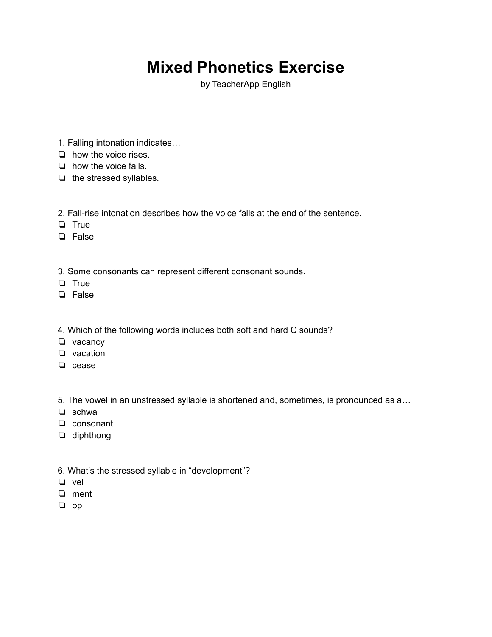# **Mixed Phonetics Exercise**

by TeacherApp English

- 1. Falling intonation indicates…
- ❏ how the voice rises.
- ❏ how the voice falls.
- ❏ the stressed syllables.
- 2. Fall-rise intonation describes how the voice falls at the end of the sentence.
- ❏ True
- ❏ False
- 3. Some consonants can represent different consonant sounds.
- ❏ True
- ❏ False
- 4. Which of the following words includes both soft and hard C sounds?
- ❏ vacancy
- ❏ vacation
- ❏ cease

5. The vowel in an unstressed syllable is shortened and, sometimes, is pronounced as a…

- ❏ schwa
- ❏ consonant
- ❏ diphthong
- 6. What's the stressed syllable in "development"?
- ❏ vel
- ❏ ment
- ❏ op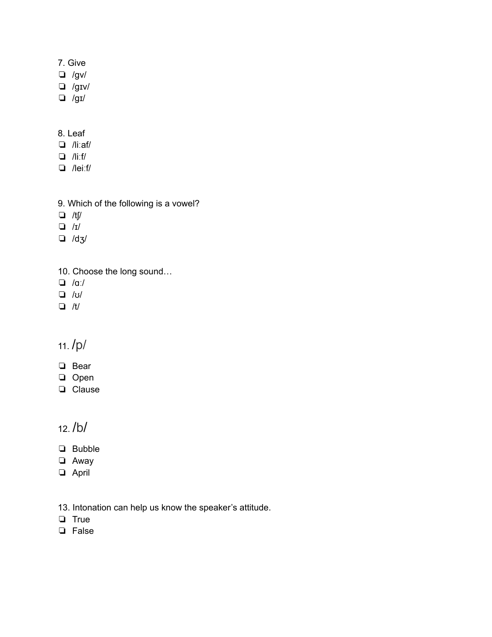#### 7. Give

- ❏ /gv/
- ❏ /gɪv/
- ❏ /gɪ/

#### 8. Leaf

- ❏ /liːaf/
- ❏ /liːf/
- ❏ /leiːf/
- 9. Which of the following is a vowel?
- ❏ /tʃ/
- ❏ /ɪ/
- ❏ /dʒ/
- 10. Choose the long sound…
- ❏ /ɑː/
- ❏ /ʊ/
- ❏ /t/

### 11. /p/

- ❏ Bear
- ❏ Open
- ❏ Clause

#### 12. /b/

- ❏ Bubble
- ❏ Away
- ❏ April
- 13. Intonation can help us know the speaker's attitude.
- ❏ True
- ❏ False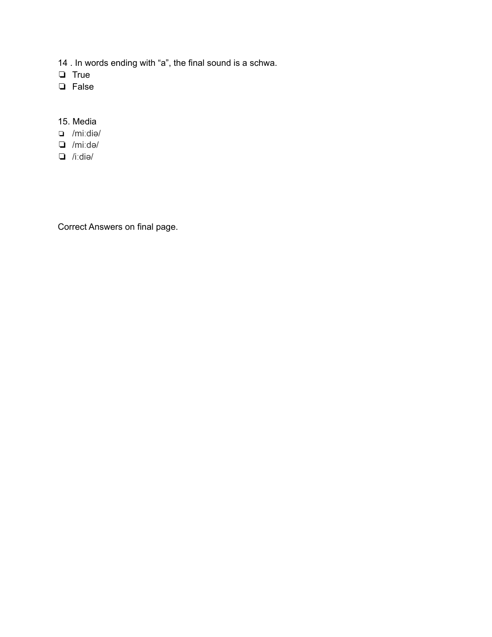14 . In words ending with "a", the final sound is a schwa.

- ❏ True
- ❏ False
- 15. Media
- ❏ /miːdiə/
- ❏ /miːdə/
- ❏ /iːdiə/

Correct Answers on final page.